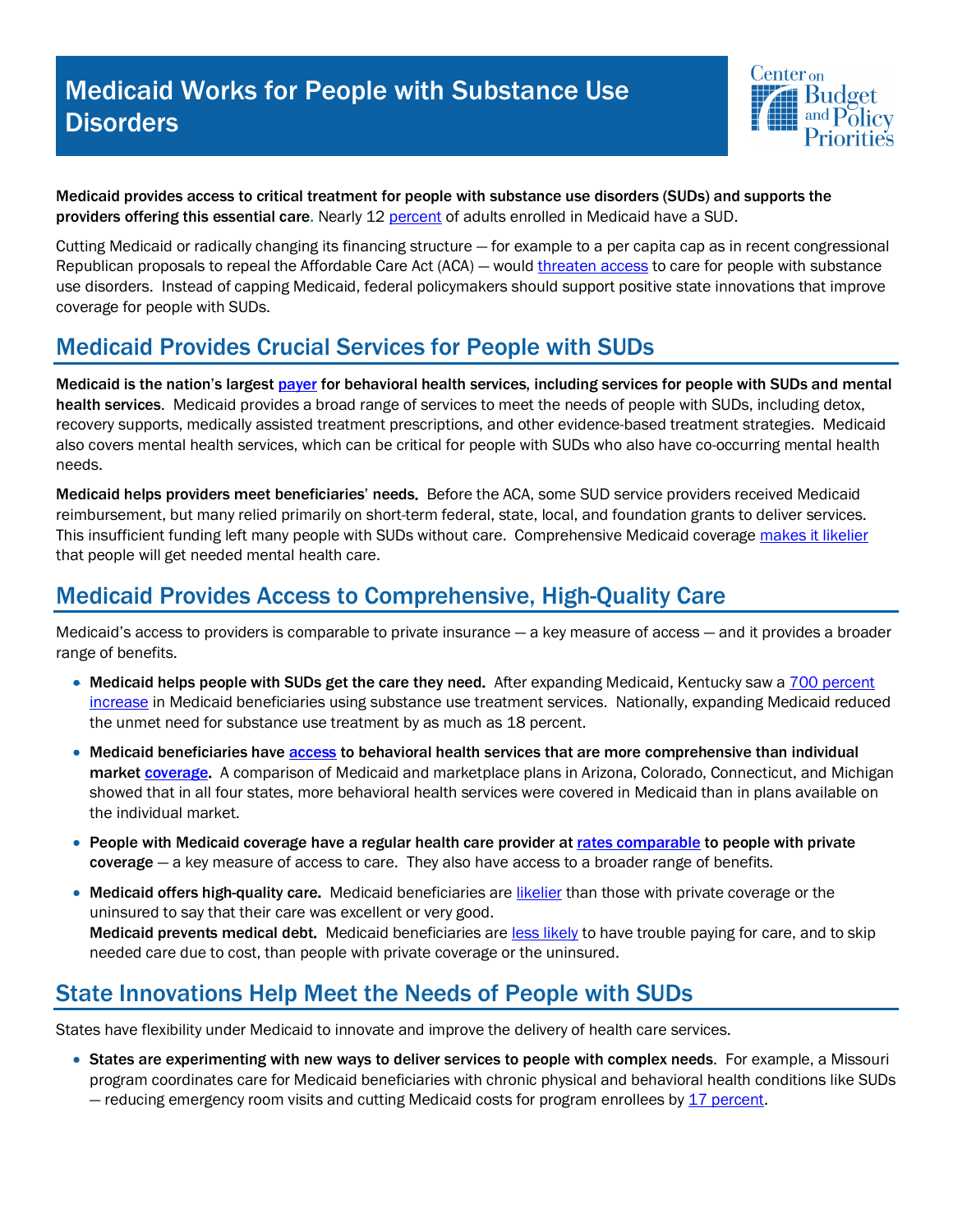# Medicaid Works for People with Substance Use **Disorders**



Medicaid provides access to critical treatment for people with substance use disorders (SUDs) and supports the providers offering this essential care. Nearly 12 percent of adults enrolled in Medicaid have a SUD.

Cutting Medicaid or radically changing its financing structure — for example to a per capita cap as in recent congressional Republican proposals to repeal the Affordable Care Act (ACA) — would threaten access to care for people with substance use disorders. Instead of capping Medicaid, federal policymakers should support positive state innovations that improve coverage for people with SUDs.

#### Medicaid Provides Crucial Services for People with SUDs

Medicaid is the nation's largest payer for behavioral health services, including services for people with SUDs and mental health services. Medicaid provides a broad range of services to meet the needs of people with SUDs, including detox, recovery supports, medically assisted treatment prescriptions, and other evidence-based treatment strategies. Medicaid also covers mental health services, which can be critical for people with SUDs who also have co-occurring mental health needs.

Medicaid helps providers meet beneficiaries' needs. Before the ACA, some SUD service providers received Medicaid reimbursement, but many relied primarily on short-term federal, state, local, and foundation grants to deliver services. This insufficient funding left many people with SUDs without care. Comprehensive Medicaid coverage makes it likelier that people will get needed mental health care.

## Medicaid Provides Access to Comprehensive, High-Quality Care

Medicaid's access to providers is comparable to private insurance — a key measure of access — and it provides a broader range of benefits.

- Medicaid helps people with SUDs get the care they need. After expanding Medicaid, Kentucky saw a  $\overline{700}$  percent increase in Medicaid beneficiaries using substance use treatment services. Nationally, expanding Medicaid reduced the unmet need for substance use treatment by as much as 18 percent.
- Medicaid beneficiaries have access to behavioral health services that are more comprehensive than individual market **coverage**. A comparison of Medicaid and marketplace plans in Arizona, Colorado, Connecticut, and Michigan showed that in all four states, more behavioral health services were covered in Medicaid than in plans available on the individual market.
- People with Medicaid coverage have a regular health care provider at rates comparable to people with private coverage — a key measure of access to care. They also have access to a broader range of benefits.
- Medicaid offers high-quality care. Medicaid beneficiaries are likelier than those with private coverage or the uninsured to say that their care was excellent or very good. Medicaid prevents medical debt. Medicaid beneficiaries are less likely to have trouble paying for care, and to skip needed care due to cost, than people with private coverage or the uninsured.

## State Innovations Help Meet the Needs of People with SUDs

States have flexibility under Medicaid to innovate and improve the delivery of health care services.

• States are experimenting with new ways to deliver services to people with complex needs. For example, a Missouri program coordinates care for Medicaid beneficiaries with chronic physical and behavioral health conditions like SUDs — reducing emergency room visits and cutting Medicaid costs for program enrollees by 17 percent.